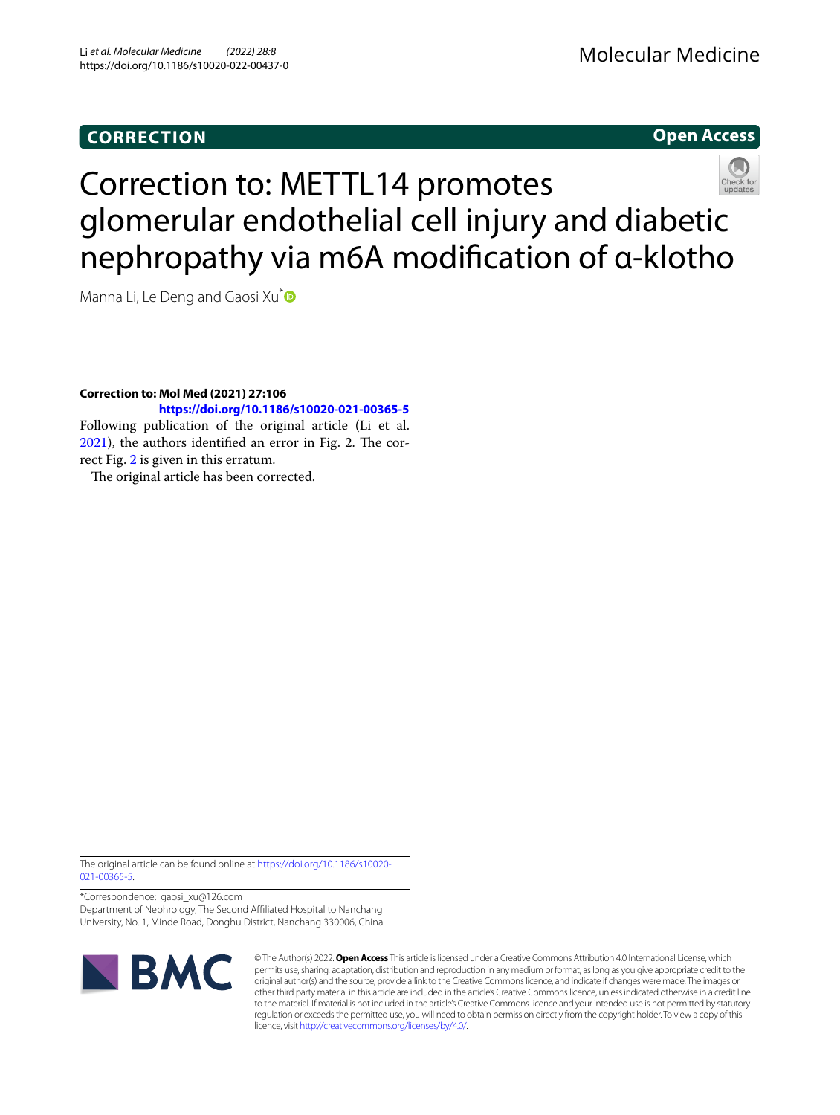## **CORRECTION**

## Molecular Medicine

**Open Access**

# Correction to: METTL14 promotes glomerular endothelial cell injury and diabetic nephropathy via m6A modifcation of α-klotho

Manna Li, Le Deng and Gaosi Xu<sup>[\\*](https://orcid.org/0000-0001-7845-4043)</sup>

**Correction to: Mol Med (2021) 27:106** 

## **<https://doi.org/10.1186/s10020-021-00365-5>**

Following publication of the original article (Li et al.  $2021$ ), the authors identified an error in Fig. 2. The correct Fig. [2](#page-1-1) is given in this erratum.

The original article has been corrected.

The original article can be found online at [https://doi.org/10.1186/s10020-](https://doi.org/10.1186/s10020-021-00365-5) [021-00365-5](https://doi.org/10.1186/s10020-021-00365-5).

\*Correspondence: gaosi\_xu@126.com Department of Nephrology, The Second Afliated Hospital to Nanchang University, No. 1, Minde Road, Donghu District, Nanchang 330006, China



© The Author(s) 2022. **Open Access** This article is licensed under a Creative Commons Attribution 4.0 International License, which permits use, sharing, adaptation, distribution and reproduction in any medium or format, as long as you give appropriate credit to the original author(s) and the source, provide a link to the Creative Commons licence, and indicate if changes were made. The images or other third party material in this article are included in the article's Creative Commons licence, unless indicated otherwise in a credit line to the material. If material is not included in the article's Creative Commons licence and your intended use is not permitted by statutory regulation or exceeds the permitted use, you will need to obtain permission directly from the copyright holder. To view a copy of this licence, visit [http://creativecommons.org/licenses/by/4.0/.](http://creativecommons.org/licenses/by/4.0/)